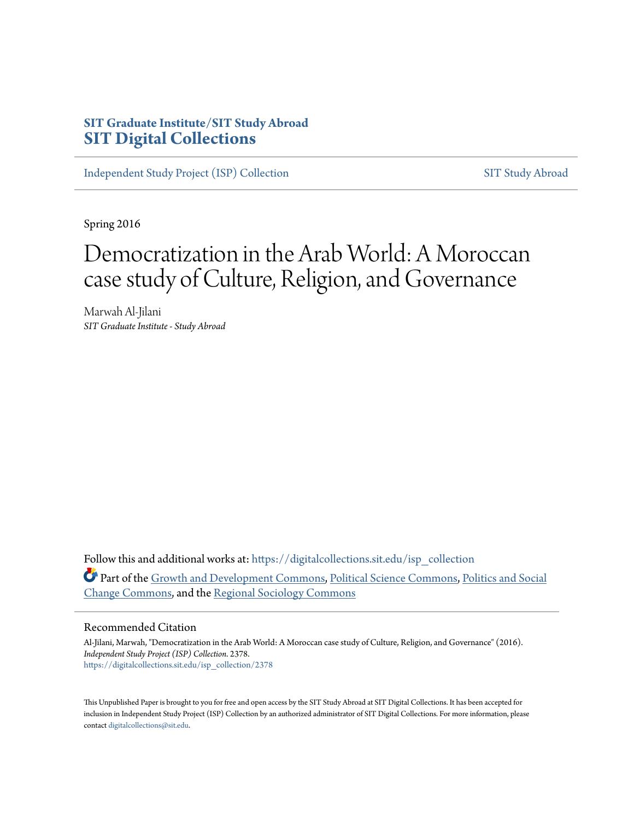# **SIT Graduate Institute/SIT Study Abroad [SIT Digital Collections](https://digitalcollections.sit.edu?utm_source=digitalcollections.sit.edu%2Fisp_collection%2F2378&utm_medium=PDF&utm_campaign=PDFCoverPages)**

[Independent Study Project \(ISP\) Collection](https://digitalcollections.sit.edu/isp_collection?utm_source=digitalcollections.sit.edu%2Fisp_collection%2F2378&utm_medium=PDF&utm_campaign=PDFCoverPages) [SIT Study Abroad](https://digitalcollections.sit.edu/study_abroad?utm_source=digitalcollections.sit.edu%2Fisp_collection%2F2378&utm_medium=PDF&utm_campaign=PDFCoverPages)

Spring 2016

# Democratization in the Arab World: A Moroccan case study of Culture, Religion, and Governance

Marwah Al-Jilani *SIT Graduate Institute - Study Abroad*

Follow this and additional works at: [https://digitalcollections.sit.edu/isp\\_collection](https://digitalcollections.sit.edu/isp_collection?utm_source=digitalcollections.sit.edu%2Fisp_collection%2F2378&utm_medium=PDF&utm_campaign=PDFCoverPages) Part of the [Growth and Development Commons,](http://network.bepress.com/hgg/discipline/346?utm_source=digitalcollections.sit.edu%2Fisp_collection%2F2378&utm_medium=PDF&utm_campaign=PDFCoverPages) [Political Science Commons,](http://network.bepress.com/hgg/discipline/386?utm_source=digitalcollections.sit.edu%2Fisp_collection%2F2378&utm_medium=PDF&utm_campaign=PDFCoverPages) [Politics and Social](http://network.bepress.com/hgg/discipline/425?utm_source=digitalcollections.sit.edu%2Fisp_collection%2F2378&utm_medium=PDF&utm_campaign=PDFCoverPages) [Change Commons,](http://network.bepress.com/hgg/discipline/425?utm_source=digitalcollections.sit.edu%2Fisp_collection%2F2378&utm_medium=PDF&utm_campaign=PDFCoverPages) and the [Regional Sociology Commons](http://network.bepress.com/hgg/discipline/427?utm_source=digitalcollections.sit.edu%2Fisp_collection%2F2378&utm_medium=PDF&utm_campaign=PDFCoverPages)

#### Recommended Citation

Al-Jilani, Marwah, "Democratization in the Arab World: A Moroccan case study of Culture, Religion, and Governance" (2016). *Independent Study Project (ISP) Collection*. 2378. [https://digitalcollections.sit.edu/isp\\_collection/2378](https://digitalcollections.sit.edu/isp_collection/2378?utm_source=digitalcollections.sit.edu%2Fisp_collection%2F2378&utm_medium=PDF&utm_campaign=PDFCoverPages)

This Unpublished Paper is brought to you for free and open access by the SIT Study Abroad at SIT Digital Collections. It has been accepted for inclusion in Independent Study Project (ISP) Collection by an authorized administrator of SIT Digital Collections. For more information, please contact [digitalcollections@sit.edu](mailto:digitalcollections@sit.edu).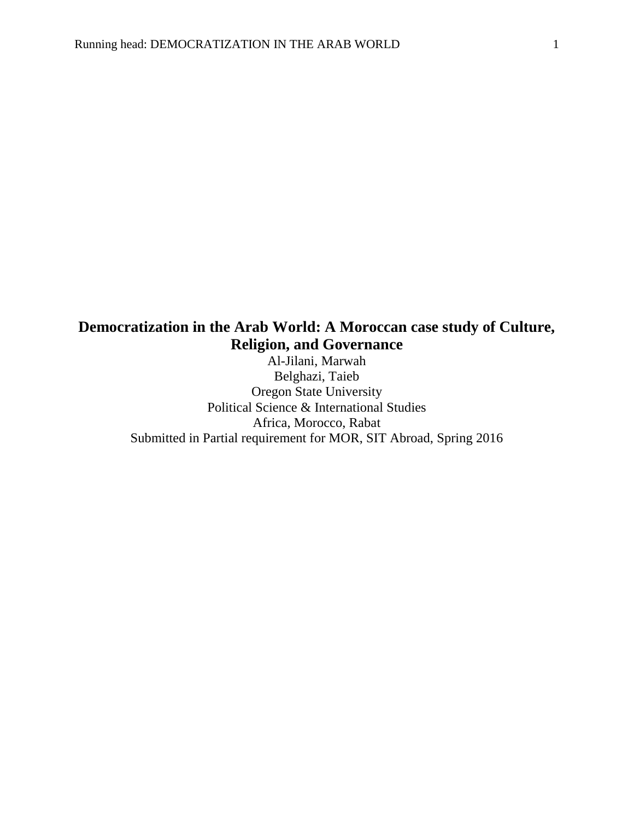# **Democratization in the Arab World: A Moroccan case study of Culture, Religion, and Governance**

Al-Jilani, Marwah Belghazi, Taieb Oregon State University Political Science & International Studies Africa, Morocco, Rabat Submitted in Partial requirement for MOR, SIT Abroad, Spring 2016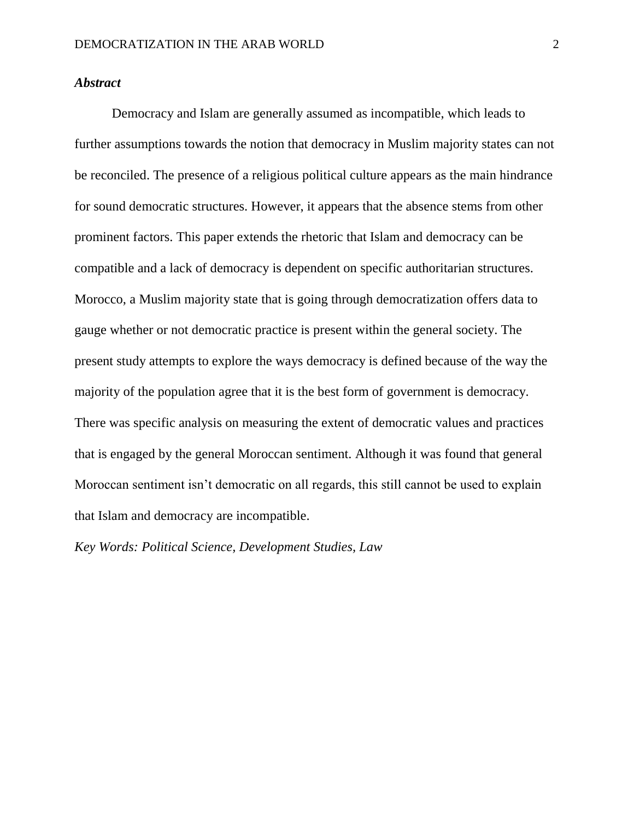#### *Abstract*

Democracy and Islam are generally assumed as incompatible, which leads to further assumptions towards the notion that democracy in Muslim majority states can not be reconciled. The presence of a religious political culture appears as the main hindrance for sound democratic structures. However, it appears that the absence stems from other prominent factors. This paper extends the rhetoric that Islam and democracy can be compatible and a lack of democracy is dependent on specific authoritarian structures. Morocco, a Muslim majority state that is going through democratization offers data to gauge whether or not democratic practice is present within the general society. The present study attempts to explore the ways democracy is defined because of the way the majority of the population agree that it is the best form of government is democracy. There was specific analysis on measuring the extent of democratic values and practices that is engaged by the general Moroccan sentiment. Although it was found that general Moroccan sentiment isn't democratic on all regards, this still cannot be used to explain that Islam and democracy are incompatible.

*Key Words: Political Science, Development Studies, Law*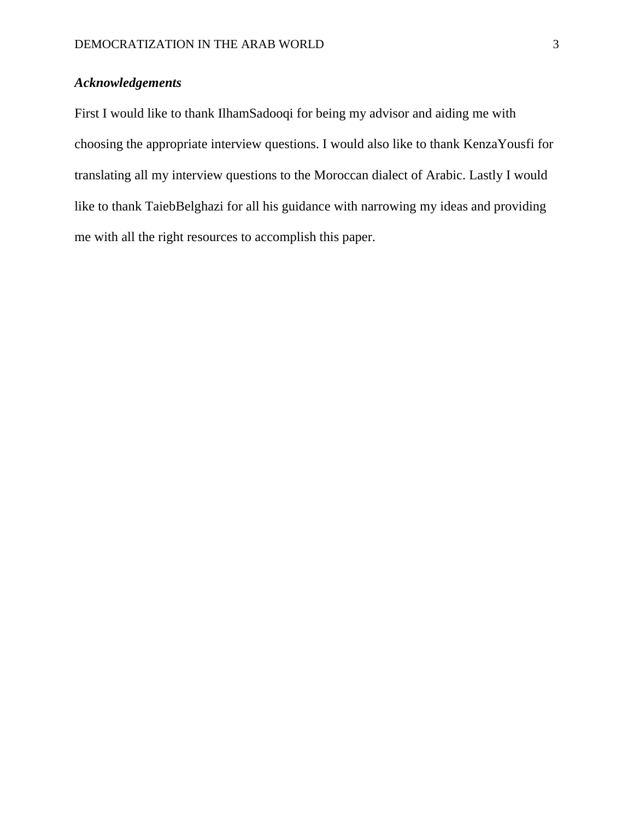# *Acknowledgements*

First I would like to thank IlhamSadooqi for being my advisor and aiding me with choosing the appropriate interview questions. I would also like to thank KenzaYousfi for translating all my interview questions to the Moroccan dialect of Arabic. Lastly I would like to thank TaiebBelghazi for all his guidance with narrowing my ideas and providing me with all the right resources to accomplish this paper.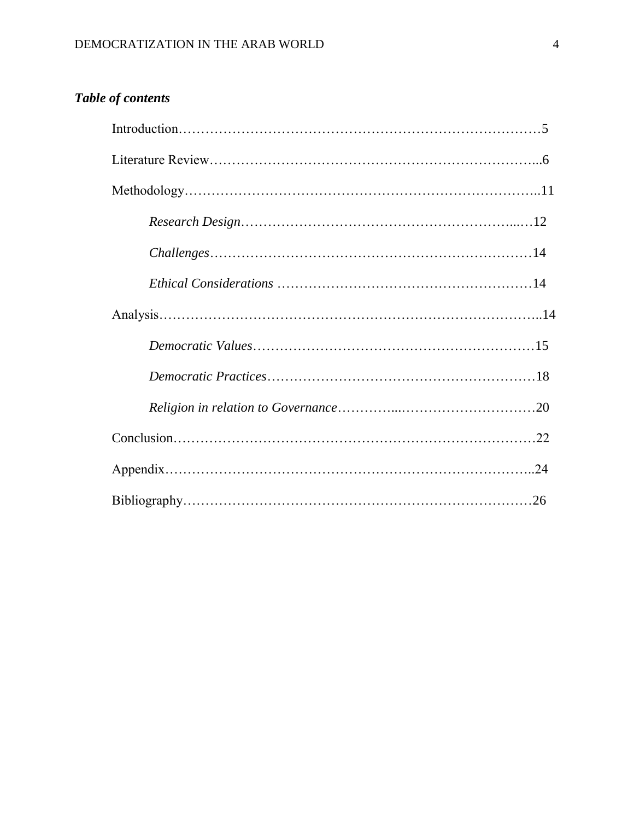# *Table of contents*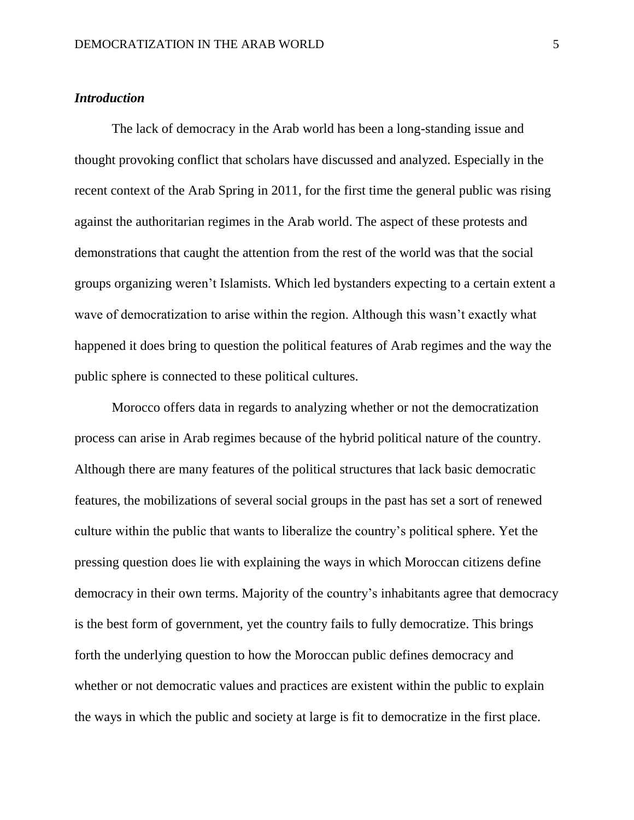#### *Introduction*

The lack of democracy in the Arab world has been a long-standing issue and thought provoking conflict that scholars have discussed and analyzed. Especially in the recent context of the Arab Spring in 2011, for the first time the general public was rising against the authoritarian regimes in the Arab world. The aspect of these protests and demonstrations that caught the attention from the rest of the world was that the social groups organizing weren't Islamists. Which led bystanders expecting to a certain extent a wave of democratization to arise within the region. Although this wasn't exactly what happened it does bring to question the political features of Arab regimes and the way the public sphere is connected to these political cultures.

Morocco offers data in regards to analyzing whether or not the democratization process can arise in Arab regimes because of the hybrid political nature of the country. Although there are many features of the political structures that lack basic democratic features, the mobilizations of several social groups in the past has set a sort of renewed culture within the public that wants to liberalize the country's political sphere. Yet the pressing question does lie with explaining the ways in which Moroccan citizens define democracy in their own terms. Majority of the country's inhabitants agree that democracy is the best form of government, yet the country fails to fully democratize. This brings forth the underlying question to how the Moroccan public defines democracy and whether or not democratic values and practices are existent within the public to explain the ways in which the public and society at large is fit to democratize in the first place.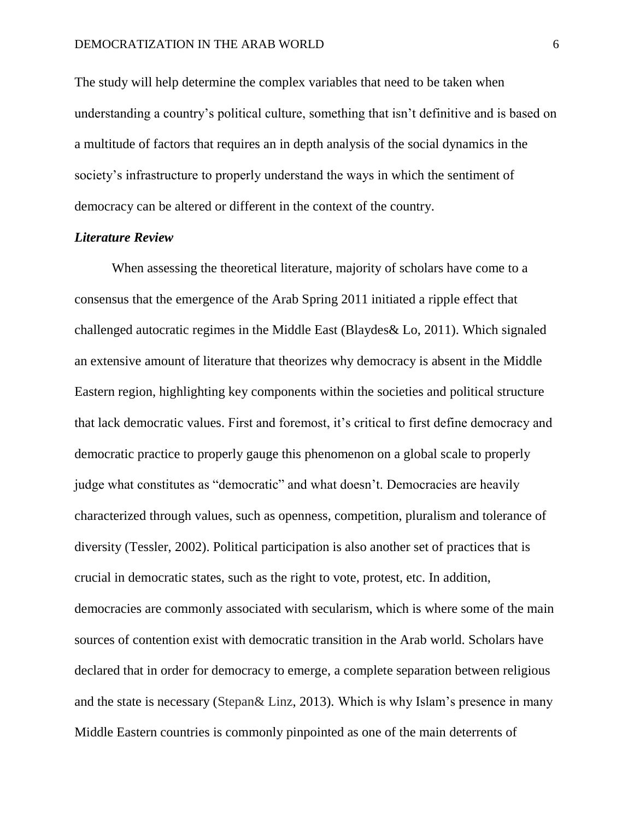The study will help determine the complex variables that need to be taken when understanding a country's political culture, something that isn't definitive and is based on a multitude of factors that requires an in depth analysis of the social dynamics in the society's infrastructure to properly understand the ways in which the sentiment of democracy can be altered or different in the context of the country.

# *Literature Review*

When assessing the theoretical literature, majority of scholars have come to a consensus that the emergence of the Arab Spring 2011 initiated a ripple effect that challenged autocratic regimes in the Middle East (Blaydes& Lo, 2011). Which signaled an extensive amount of literature that theorizes why democracy is absent in the Middle Eastern region, highlighting key components within the societies and political structure that lack democratic values. First and foremost, it's critical to first define democracy and democratic practice to properly gauge this phenomenon on a global scale to properly judge what constitutes as "democratic" and what doesn't. Democracies are heavily characterized through values, such as openness, competition, pluralism and tolerance of diversity (Tessler, 2002). Political participation is also another set of practices that is crucial in democratic states, such as the right to vote, protest, etc. In addition, democracies are commonly associated with secularism, which is where some of the main sources of contention exist with democratic transition in the Arab world. Scholars have declared that in order for democracy to emerge, a complete separation between religious and the state is necessary (Stepan& Linz, 2013). Which is why Islam's presence in many Middle Eastern countries is commonly pinpointed as one of the main deterrents of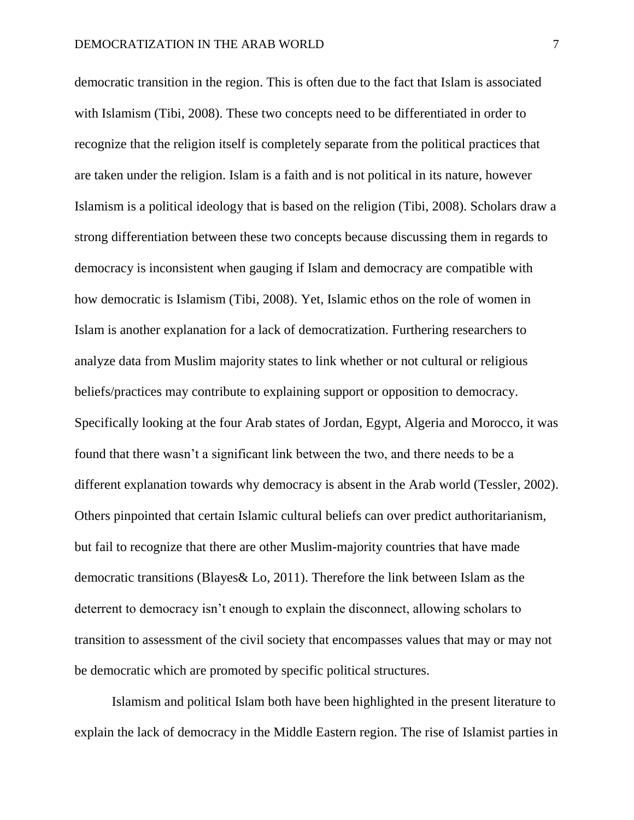democratic transition in the region. This is often due to the fact that Islam is associated with Islamism (Tibi, 2008). These two concepts need to be differentiated in order to recognize that the religion itself is completely separate from the political practices that are taken under the religion. Islam is a faith and is not political in its nature, however Islamism is a political ideology that is based on the religion (Tibi, 2008). Scholars draw a strong differentiation between these two concepts because discussing them in regards to democracy is inconsistent when gauging if Islam and democracy are compatible with how democratic is Islamism (Tibi, 2008). Yet, Islamic ethos on the role of women in Islam is another explanation for a lack of democratization. Furthering researchers to analyze data from Muslim majority states to link whether or not cultural or religious beliefs/practices may contribute to explaining support or opposition to democracy. Specifically looking at the four Arab states of Jordan, Egypt, Algeria and Morocco, it was found that there wasn't a significant link between the two, and there needs to be a different explanation towards why democracy is absent in the Arab world (Tessler, 2002). Others pinpointed that certain Islamic cultural beliefs can over predict authoritarianism, but fail to recognize that there are other Muslim-majority countries that have made democratic transitions (Blayes& Lo, 2011). Therefore the link between Islam as the deterrent to democracy isn't enough to explain the disconnect, allowing scholars to transition to assessment of the civil society that encompasses values that may or may not be democratic which are promoted by specific political structures.

Islamism and political Islam both have been highlighted in the present literature to explain the lack of democracy in the Middle Eastern region. The rise of Islamist parties in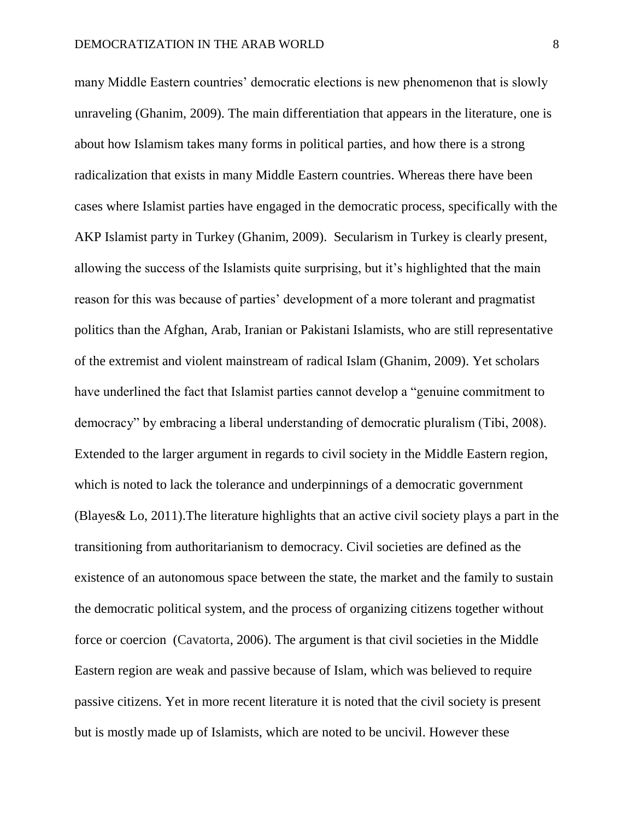many Middle Eastern countries' democratic elections is new phenomenon that is slowly unraveling (Ghanim, 2009). The main differentiation that appears in the literature, one is about how Islamism takes many forms in political parties, and how there is a strong radicalization that exists in many Middle Eastern countries. Whereas there have been cases where Islamist parties have engaged in the democratic process, specifically with the AKP Islamist party in Turkey (Ghanim, 2009). Secularism in Turkey is clearly present, allowing the success of the Islamists quite surprising, but it's highlighted that the main reason for this was because of parties' development of a more tolerant and pragmatist politics than the Afghan, Arab, Iranian or Pakistani Islamists, who are still representative of the extremist and violent mainstream of radical Islam (Ghanim, 2009). Yet scholars have underlined the fact that Islamist parties cannot develop a "genuine commitment to democracy" by embracing a liberal understanding of democratic pluralism (Tibi, 2008). Extended to the larger argument in regards to civil society in the Middle Eastern region, which is noted to lack the tolerance and underpinnings of a democratic government (Blayes& Lo, 2011).The literature highlights that an active civil society plays a part in the transitioning from authoritarianism to democracy. Civil societies are defined as the existence of an autonomous space between the state, the market and the family to sustain the democratic political system, and the process of organizing citizens together without force or coercion (Cavatorta, 2006). The argument is that civil societies in the Middle Eastern region are weak and passive because of Islam, which was believed to require passive citizens. Yet in more recent literature it is noted that the civil society is present but is mostly made up of Islamists, which are noted to be uncivil. However these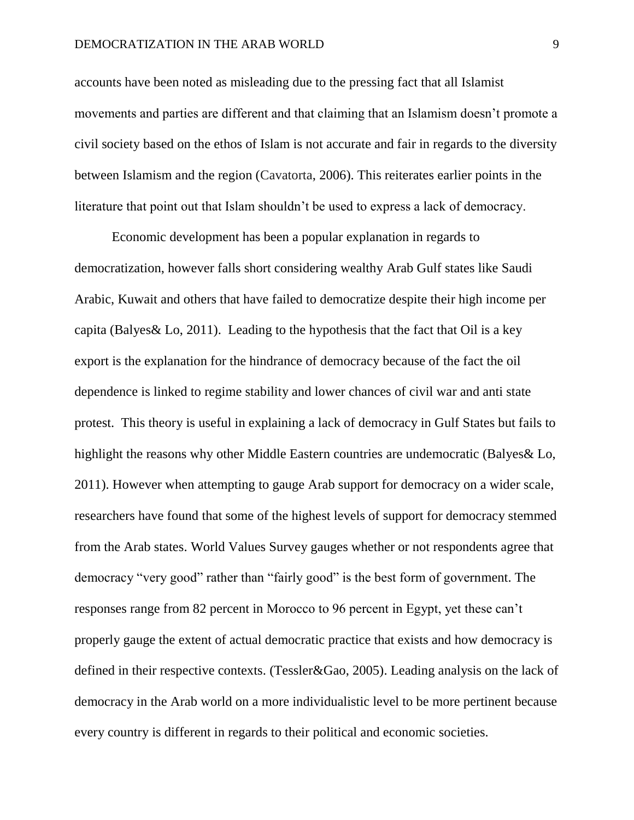accounts have been noted as misleading due to the pressing fact that all Islamist movements and parties are different and that claiming that an Islamism doesn't promote a civil society based on the ethos of Islam is not accurate and fair in regards to the diversity between Islamism and the region (Cavatorta, 2006). This reiterates earlier points in the literature that point out that Islam shouldn't be used to express a lack of democracy.

Economic development has been a popular explanation in regards to democratization, however falls short considering wealthy Arab Gulf states like Saudi Arabic, Kuwait and others that have failed to democratize despite their high income per capita (Balyes & Lo, 2011). Leading to the hypothesis that the fact that Oil is a key export is the explanation for the hindrance of democracy because of the fact the oil dependence is linked to regime stability and lower chances of civil war and anti state protest. This theory is useful in explaining a lack of democracy in Gulf States but fails to highlight the reasons why other Middle Eastern countries are undemocratic (Balyes& Lo, 2011). However when attempting to gauge Arab support for democracy on a wider scale, researchers have found that some of the highest levels of support for democracy stemmed from the Arab states. World Values Survey gauges whether or not respondents agree that democracy "very good" rather than "fairly good" is the best form of government. The responses range from 82 percent in Morocco to 96 percent in Egypt, yet these can't properly gauge the extent of actual democratic practice that exists and how democracy is defined in their respective contexts. (Tessler&Gao, 2005). Leading analysis on the lack of democracy in the Arab world on a more individualistic level to be more pertinent because every country is different in regards to their political and economic societies.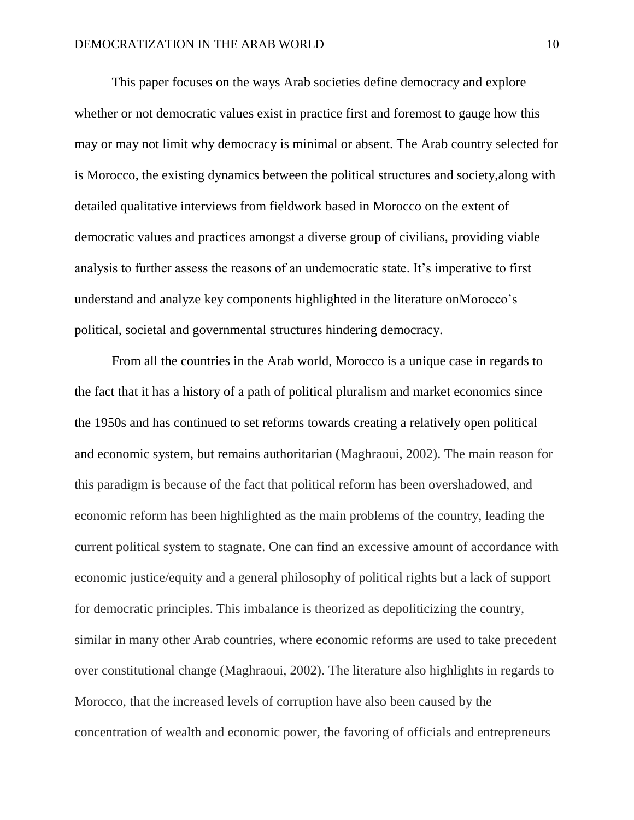This paper focuses on the ways Arab societies define democracy and explore whether or not democratic values exist in practice first and foremost to gauge how this may or may not limit why democracy is minimal or absent. The Arab country selected for is Morocco, the existing dynamics between the political structures and society,along with detailed qualitative interviews from fieldwork based in Morocco on the extent of democratic values and practices amongst a diverse group of civilians, providing viable analysis to further assess the reasons of an undemocratic state. It's imperative to first understand and analyze key components highlighted in the literature onMorocco's political, societal and governmental structures hindering democracy.

From all the countries in the Arab world, Morocco is a unique case in regards to the fact that it has a history of a path of political pluralism and market economics since the 1950s and has continued to set reforms towards creating a relatively open political and economic system, but remains authoritarian (Maghraoui, 2002). The main reason for this paradigm is because of the fact that political reform has been overshadowed, and economic reform has been highlighted as the main problems of the country, leading the current political system to stagnate. One can find an excessive amount of accordance with economic justice/equity and a general philosophy of political rights but a lack of support for democratic principles. This imbalance is theorized as depoliticizing the country, similar in many other Arab countries, where economic reforms are used to take precedent over constitutional change (Maghraoui, 2002). The literature also highlights in regards to Morocco, that the increased levels of corruption have also been caused by the concentration of wealth and economic power, the favoring of officials and entrepreneurs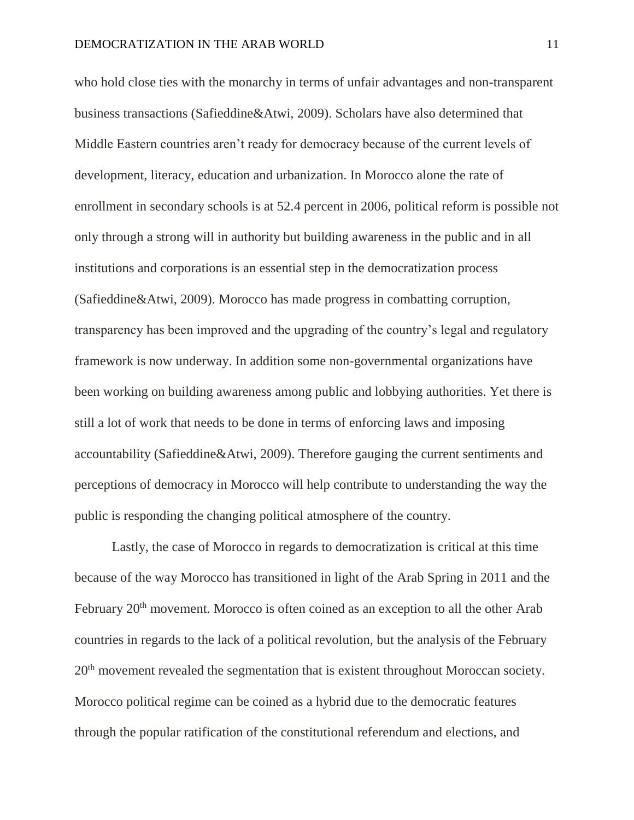who hold close ties with the monarchy in terms of unfair advantages and non-transparent business transactions (Safieddine&Atwi, 2009). Scholars have also determined that Middle Eastern countries aren't ready for democracy because of the current levels of development, literacy, education and urbanization. In Morocco alone the rate of enrollment in secondary schools is at 52.4 percent in 2006, political reform is possible not only through a strong will in authority but building awareness in the public and in all institutions and corporations is an essential step in the democratization process (Safieddine&Atwi, 2009). Morocco has made progress in combatting corruption, transparency has been improved and the upgrading of the country's legal and regulatory framework is now underway. In addition some non-governmental organizations have been working on building awareness among public and lobbying authorities. Yet there is still a lot of work that needs to be done in terms of enforcing laws and imposing accountability (Safieddine&Atwi, 2009). Therefore gauging the current sentiments and perceptions of democracy in Morocco will help contribute to understanding the way the public is responding the changing political atmosphere of the country.

Lastly, the case of Morocco in regards to democratization is critical at this time because of the way Morocco has transitioned in light of the Arab Spring in 2011 and the February 20<sup>th</sup> movement. Morocco is often coined as an exception to all the other Arab countries in regards to the lack of a political revolution, but the analysis of the February 20<sup>th</sup> movement revealed the segmentation that is existent throughout Moroccan society. Morocco political regime can be coined as a hybrid due to the democratic features through the popular ratification of the constitutional referendum and elections, and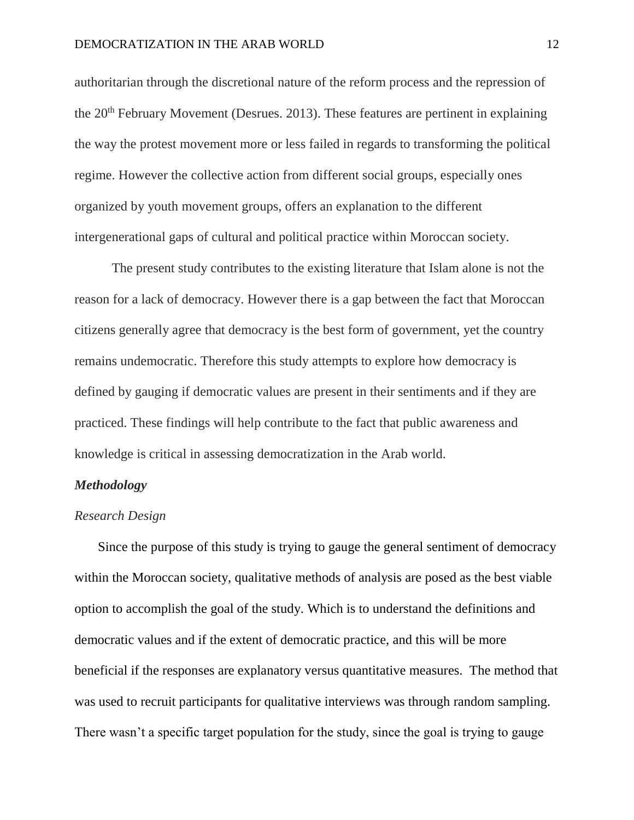authoritarian through the discretional nature of the reform process and the repression of the 20<sup>th</sup> February Movement (Desrues. 2013). These features are pertinent in explaining the way the protest movement more or less failed in regards to transforming the political regime. However the collective action from different social groups, especially ones organized by youth movement groups, offers an explanation to the different intergenerational gaps of cultural and political practice within Moroccan society.

The present study contributes to the existing literature that Islam alone is not the reason for a lack of democracy. However there is a gap between the fact that Moroccan citizens generally agree that democracy is the best form of government, yet the country remains undemocratic. Therefore this study attempts to explore how democracy is defined by gauging if democratic values are present in their sentiments and if they are practiced. These findings will help contribute to the fact that public awareness and knowledge is critical in assessing democratization in the Arab world.

# *Methodology*

#### *Research Design*

Since the purpose of this study is trying to gauge the general sentiment of democracy within the Moroccan society, qualitative methods of analysis are posed as the best viable option to accomplish the goal of the study. Which is to understand the definitions and democratic values and if the extent of democratic practice, and this will be more beneficial if the responses are explanatory versus quantitative measures. The method that was used to recruit participants for qualitative interviews was through random sampling. There wasn't a specific target population for the study, since the goal is trying to gauge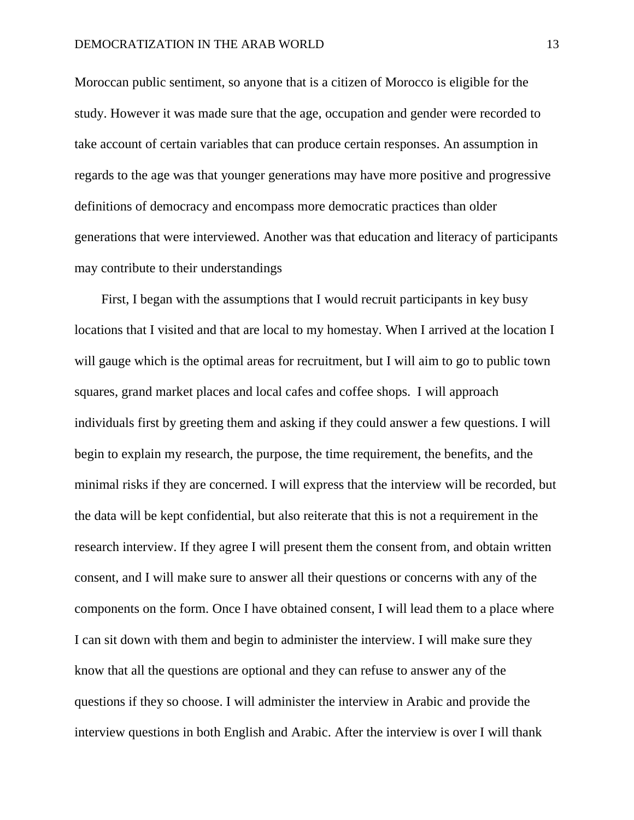Moroccan public sentiment, so anyone that is a citizen of Morocco is eligible for the study. However it was made sure that the age, occupation and gender were recorded to take account of certain variables that can produce certain responses. An assumption in regards to the age was that younger generations may have more positive and progressive definitions of democracy and encompass more democratic practices than older generations that were interviewed. Another was that education and literacy of participants may contribute to their understandings

First, I began with the assumptions that I would recruit participants in key busy locations that I visited and that are local to my homestay. When I arrived at the location I will gauge which is the optimal areas for recruitment, but I will aim to go to public town squares, grand market places and local cafes and coffee shops. I will approach individuals first by greeting them and asking if they could answer a few questions. I will begin to explain my research, the purpose, the time requirement, the benefits, and the minimal risks if they are concerned. I will express that the interview will be recorded, but the data will be kept confidential, but also reiterate that this is not a requirement in the research interview. If they agree I will present them the consent from, and obtain written consent, and I will make sure to answer all their questions or concerns with any of the components on the form. Once I have obtained consent, I will lead them to a place where I can sit down with them and begin to administer the interview. I will make sure they know that all the questions are optional and they can refuse to answer any of the questions if they so choose. I will administer the interview in Arabic and provide the interview questions in both English and Arabic. After the interview is over I will thank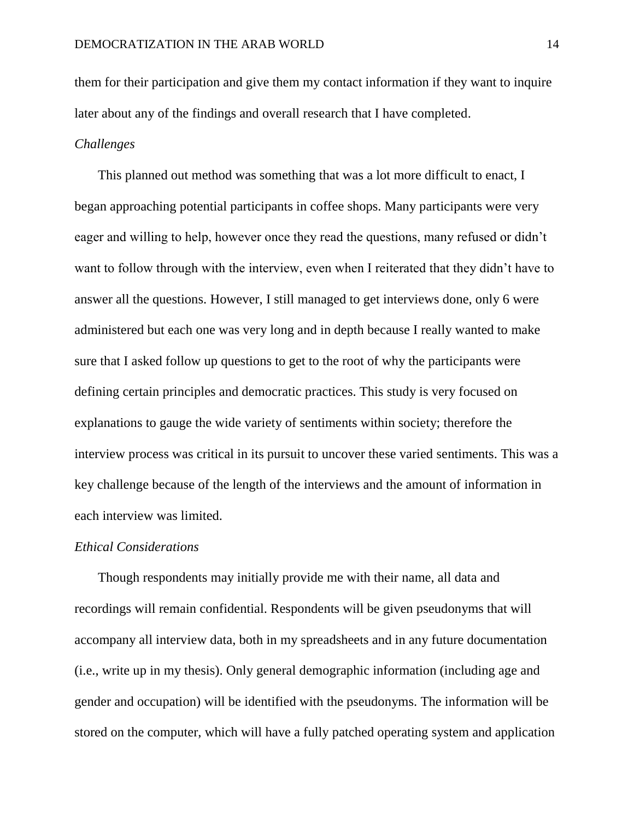them for their participation and give them my contact information if they want to inquire later about any of the findings and overall research that I have completed.

# *Challenges*

This planned out method was something that was a lot more difficult to enact, I began approaching potential participants in coffee shops. Many participants were very eager and willing to help, however once they read the questions, many refused or didn't want to follow through with the interview, even when I reiterated that they didn't have to answer all the questions. However, I still managed to get interviews done, only 6 were administered but each one was very long and in depth because I really wanted to make sure that I asked follow up questions to get to the root of why the participants were defining certain principles and democratic practices. This study is very focused on explanations to gauge the wide variety of sentiments within society; therefore the interview process was critical in its pursuit to uncover these varied sentiments. This was a key challenge because of the length of the interviews and the amount of information in each interview was limited.

#### *Ethical Considerations*

Though respondents may initially provide me with their name, all data and recordings will remain confidential. Respondents will be given pseudonyms that will accompany all interview data, both in my spreadsheets and in any future documentation (i.e., write up in my thesis). Only general demographic information (including age and gender and occupation) will be identified with the pseudonyms. The information will be stored on the computer, which will have a fully patched operating system and application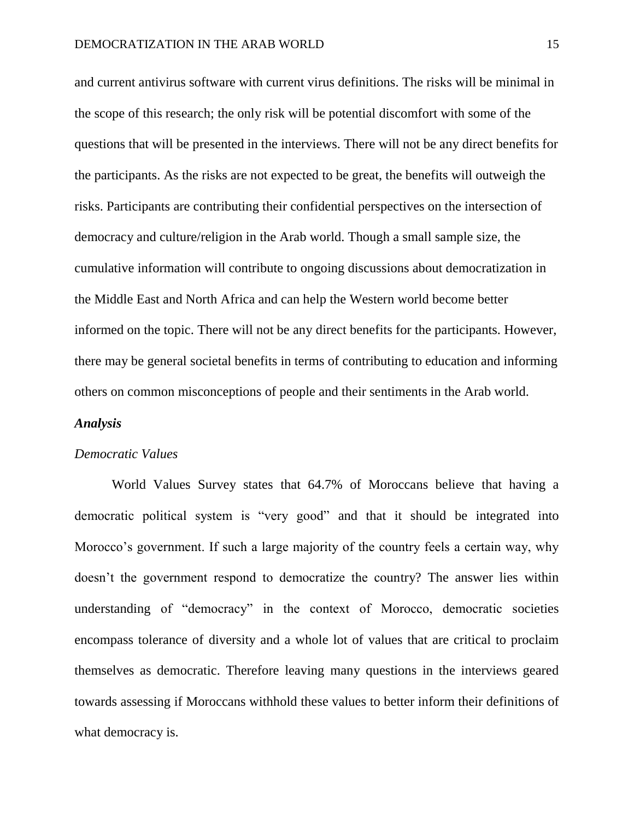and current antivirus software with current virus definitions. The risks will be minimal in the scope of this research; the only risk will be potential discomfort with some of the questions that will be presented in the interviews. There will not be any direct benefits for the participants. As the risks are not expected to be great, the benefits will outweigh the risks. Participants are contributing their confidential perspectives on the intersection of democracy and culture/religion in the Arab world. Though a small sample size, the cumulative information will contribute to ongoing discussions about democratization in the Middle East and North Africa and can help the Western world become better informed on the topic. There will not be any direct benefits for the participants. However, there may be general societal benefits in terms of contributing to education and informing others on common misconceptions of people and their sentiments in the Arab world.

#### *Analysis*

#### *Democratic Values*

World Values Survey states that 64.7% of Moroccans believe that having a democratic political system is "very good" and that it should be integrated into Morocco's government. If such a large majority of the country feels a certain way, why doesn't the government respond to democratize the country? The answer lies within understanding of "democracy" in the context of Morocco, democratic societies encompass tolerance of diversity and a whole lot of values that are critical to proclaim themselves as democratic. Therefore leaving many questions in the interviews geared towards assessing if Moroccans withhold these values to better inform their definitions of what democracy is.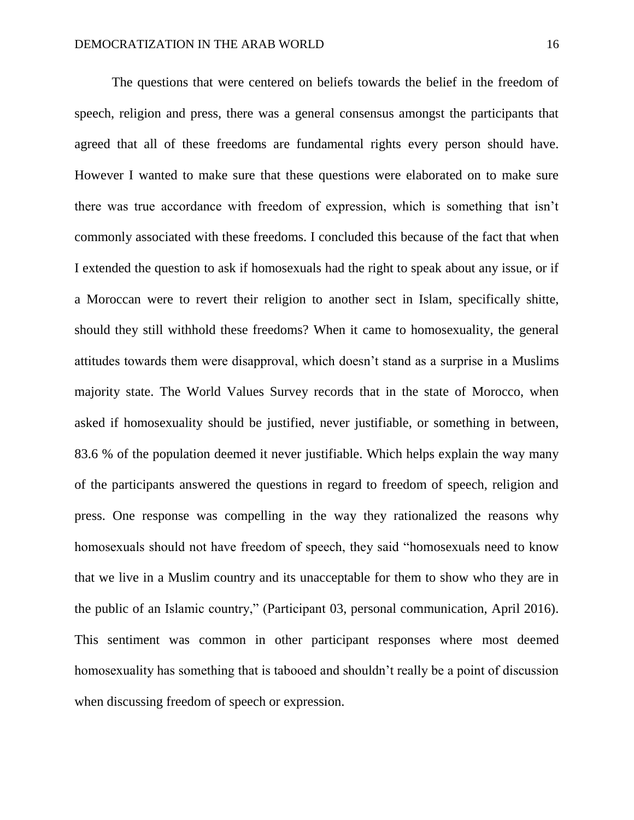The questions that were centered on beliefs towards the belief in the freedom of speech, religion and press, there was a general consensus amongst the participants that agreed that all of these freedoms are fundamental rights every person should have. However I wanted to make sure that these questions were elaborated on to make sure there was true accordance with freedom of expression, which is something that isn't commonly associated with these freedoms. I concluded this because of the fact that when I extended the question to ask if homosexuals had the right to speak about any issue, or if a Moroccan were to revert their religion to another sect in Islam, specifically shitte, should they still withhold these freedoms? When it came to homosexuality, the general attitudes towards them were disapproval, which doesn't stand as a surprise in a Muslims majority state. The World Values Survey records that in the state of Morocco, when asked if homosexuality should be justified, never justifiable, or something in between, 83.6 % of the population deemed it never justifiable. Which helps explain the way many of the participants answered the questions in regard to freedom of speech, religion and press. One response was compelling in the way they rationalized the reasons why homosexuals should not have freedom of speech, they said "homosexuals need to know that we live in a Muslim country and its unacceptable for them to show who they are in the public of an Islamic country," (Participant 03, personal communication, April 2016). This sentiment was common in other participant responses where most deemed homosexuality has something that is tabooed and shouldn't really be a point of discussion when discussing freedom of speech or expression.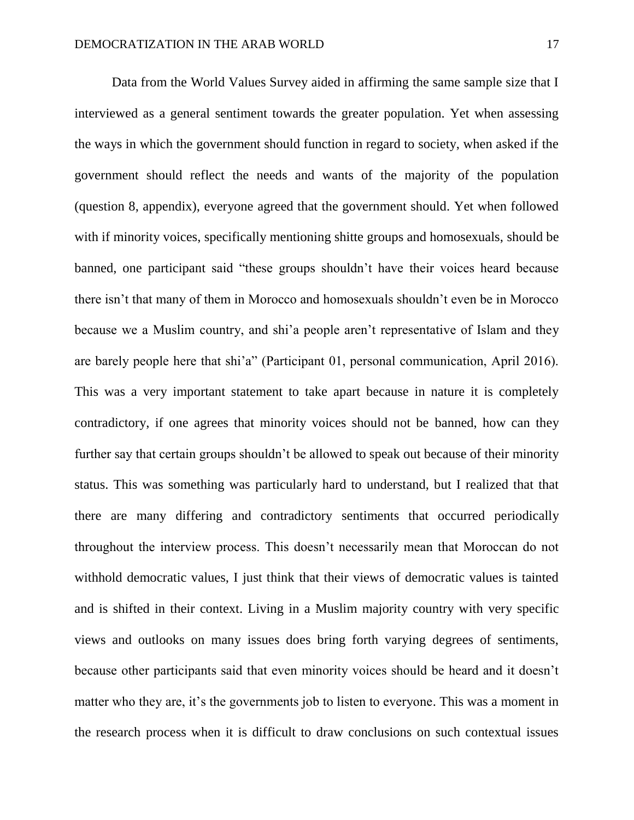Data from the World Values Survey aided in affirming the same sample size that I interviewed as a general sentiment towards the greater population. Yet when assessing the ways in which the government should function in regard to society, when asked if the government should reflect the needs and wants of the majority of the population (question 8, appendix), everyone agreed that the government should. Yet when followed with if minority voices, specifically mentioning shitte groups and homosexuals, should be banned, one participant said "these groups shouldn't have their voices heard because there isn't that many of them in Morocco and homosexuals shouldn't even be in Morocco because we a Muslim country, and shi'a people aren't representative of Islam and they are barely people here that shi'a" (Participant 01, personal communication, April 2016). This was a very important statement to take apart because in nature it is completely contradictory, if one agrees that minority voices should not be banned, how can they further say that certain groups shouldn't be allowed to speak out because of their minority status. This was something was particularly hard to understand, but I realized that that there are many differing and contradictory sentiments that occurred periodically throughout the interview process. This doesn't necessarily mean that Moroccan do not withhold democratic values, I just think that their views of democratic values is tainted and is shifted in their context. Living in a Muslim majority country with very specific views and outlooks on many issues does bring forth varying degrees of sentiments, because other participants said that even minority voices should be heard and it doesn't matter who they are, it's the governments job to listen to everyone. This was a moment in the research process when it is difficult to draw conclusions on such contextual issues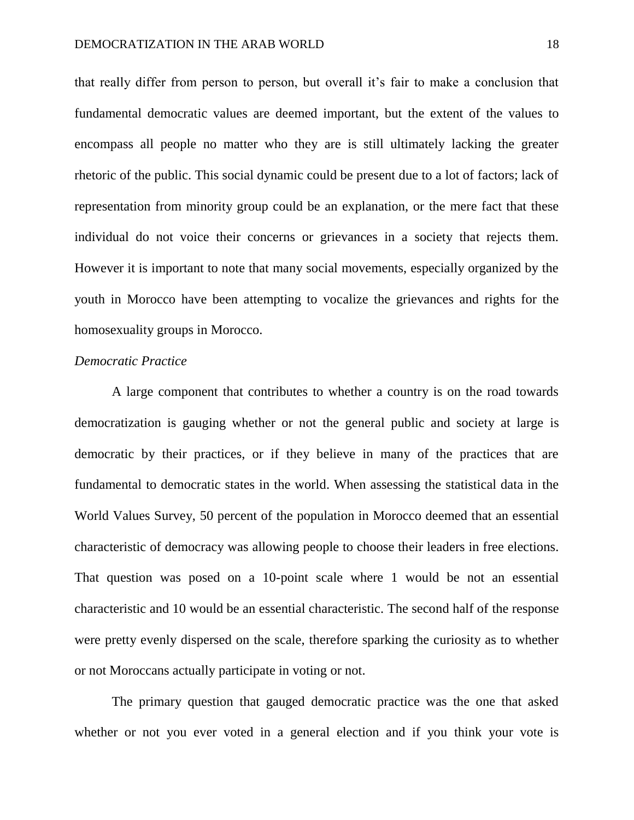that really differ from person to person, but overall it's fair to make a conclusion that fundamental democratic values are deemed important, but the extent of the values to encompass all people no matter who they are is still ultimately lacking the greater rhetoric of the public. This social dynamic could be present due to a lot of factors; lack of representation from minority group could be an explanation, or the mere fact that these individual do not voice their concerns or grievances in a society that rejects them. However it is important to note that many social movements, especially organized by the youth in Morocco have been attempting to vocalize the grievances and rights for the homosexuality groups in Morocco.

## *Democratic Practice*

A large component that contributes to whether a country is on the road towards democratization is gauging whether or not the general public and society at large is democratic by their practices, or if they believe in many of the practices that are fundamental to democratic states in the world. When assessing the statistical data in the World Values Survey, 50 percent of the population in Morocco deemed that an essential characteristic of democracy was allowing people to choose their leaders in free elections. That question was posed on a 10-point scale where 1 would be not an essential characteristic and 10 would be an essential characteristic. The second half of the response were pretty evenly dispersed on the scale, therefore sparking the curiosity as to whether or not Moroccans actually participate in voting or not.

The primary question that gauged democratic practice was the one that asked whether or not you ever voted in a general election and if you think your vote is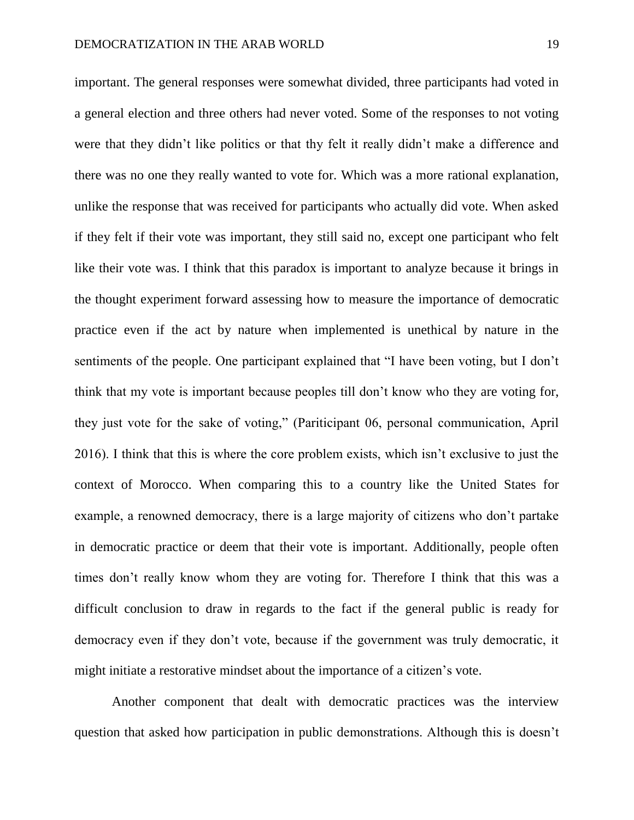important. The general responses were somewhat divided, three participants had voted in a general election and three others had never voted. Some of the responses to not voting were that they didn't like politics or that thy felt it really didn't make a difference and there was no one they really wanted to vote for. Which was a more rational explanation, unlike the response that was received for participants who actually did vote. When asked if they felt if their vote was important, they still said no, except one participant who felt like their vote was. I think that this paradox is important to analyze because it brings in the thought experiment forward assessing how to measure the importance of democratic practice even if the act by nature when implemented is unethical by nature in the sentiments of the people. One participant explained that "I have been voting, but I don't think that my vote is important because peoples till don't know who they are voting for, they just vote for the sake of voting," (Pariticipant 06, personal communication, April 2016). I think that this is where the core problem exists, which isn't exclusive to just the context of Morocco. When comparing this to a country like the United States for example, a renowned democracy, there is a large majority of citizens who don't partake in democratic practice or deem that their vote is important. Additionally, people often times don't really know whom they are voting for. Therefore I think that this was a difficult conclusion to draw in regards to the fact if the general public is ready for democracy even if they don't vote, because if the government was truly democratic, it might initiate a restorative mindset about the importance of a citizen's vote.

Another component that dealt with democratic practices was the interview question that asked how participation in public demonstrations. Although this is doesn't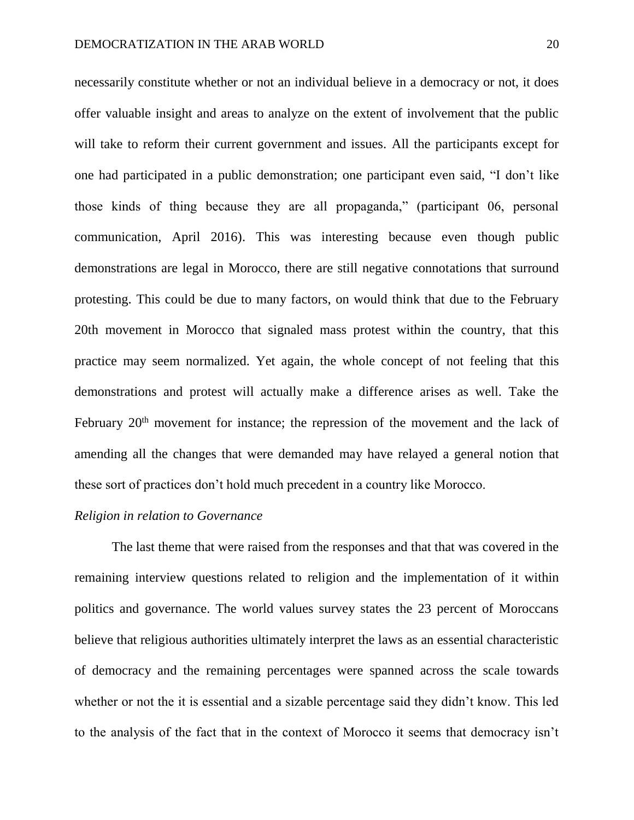necessarily constitute whether or not an individual believe in a democracy or not, it does offer valuable insight and areas to analyze on the extent of involvement that the public will take to reform their current government and issues. All the participants except for one had participated in a public demonstration; one participant even said, "I don't like those kinds of thing because they are all propaganda," (participant 06, personal communication, April 2016). This was interesting because even though public demonstrations are legal in Morocco, there are still negative connotations that surround protesting. This could be due to many factors, on would think that due to the February 20th movement in Morocco that signaled mass protest within the country, that this practice may seem normalized. Yet again, the whole concept of not feeling that this demonstrations and protest will actually make a difference arises as well. Take the February  $20<sup>th</sup>$  movement for instance; the repression of the movement and the lack of amending all the changes that were demanded may have relayed a general notion that these sort of practices don't hold much precedent in a country like Morocco.

#### *Religion in relation to Governance*

The last theme that were raised from the responses and that that was covered in the remaining interview questions related to religion and the implementation of it within politics and governance. The world values survey states the 23 percent of Moroccans believe that religious authorities ultimately interpret the laws as an essential characteristic of democracy and the remaining percentages were spanned across the scale towards whether or not the it is essential and a sizable percentage said they didn't know. This led to the analysis of the fact that in the context of Morocco it seems that democracy isn't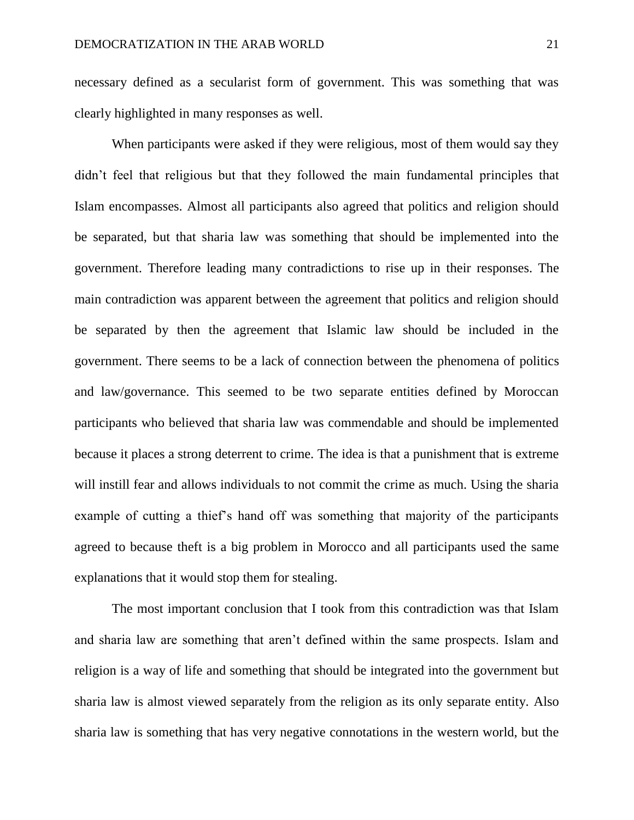necessary defined as a secularist form of government. This was something that was clearly highlighted in many responses as well.

When participants were asked if they were religious, most of them would say they didn't feel that religious but that they followed the main fundamental principles that Islam encompasses. Almost all participants also agreed that politics and religion should be separated, but that sharia law was something that should be implemented into the government. Therefore leading many contradictions to rise up in their responses. The main contradiction was apparent between the agreement that politics and religion should be separated by then the agreement that Islamic law should be included in the government. There seems to be a lack of connection between the phenomena of politics and law/governance. This seemed to be two separate entities defined by Moroccan participants who believed that sharia law was commendable and should be implemented because it places a strong deterrent to crime. The idea is that a punishment that is extreme will instill fear and allows individuals to not commit the crime as much. Using the sharia example of cutting a thief's hand off was something that majority of the participants agreed to because theft is a big problem in Morocco and all participants used the same explanations that it would stop them for stealing.

The most important conclusion that I took from this contradiction was that Islam and sharia law are something that aren't defined within the same prospects. Islam and religion is a way of life and something that should be integrated into the government but sharia law is almost viewed separately from the religion as its only separate entity. Also sharia law is something that has very negative connotations in the western world, but the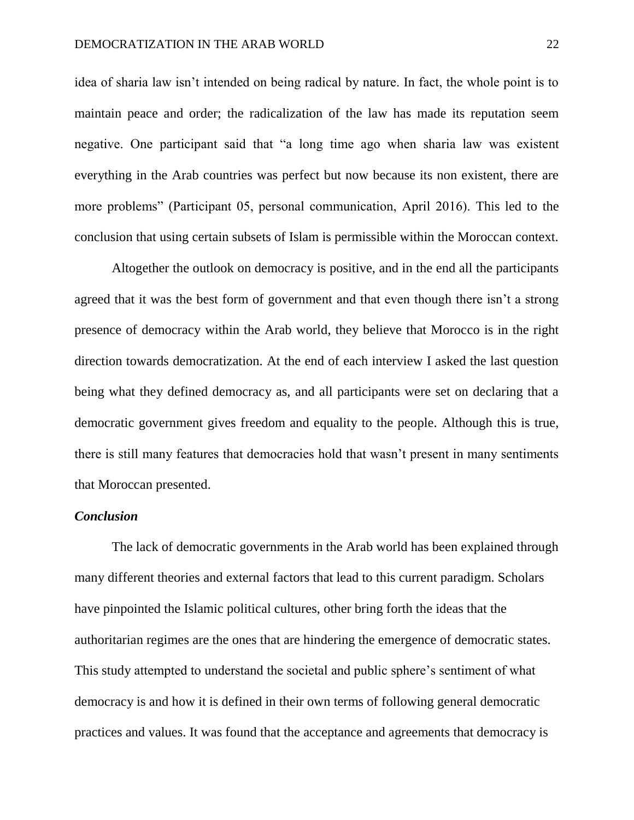idea of sharia law isn't intended on being radical by nature. In fact, the whole point is to maintain peace and order; the radicalization of the law has made its reputation seem negative. One participant said that "a long time ago when sharia law was existent everything in the Arab countries was perfect but now because its non existent, there are more problems" (Participant 05, personal communication, April 2016). This led to the conclusion that using certain subsets of Islam is permissible within the Moroccan context.

Altogether the outlook on democracy is positive, and in the end all the participants agreed that it was the best form of government and that even though there isn't a strong presence of democracy within the Arab world, they believe that Morocco is in the right direction towards democratization. At the end of each interview I asked the last question being what they defined democracy as, and all participants were set on declaring that a democratic government gives freedom and equality to the people. Although this is true, there is still many features that democracies hold that wasn't present in many sentiments that Moroccan presented.

#### *Conclusion*

The lack of democratic governments in the Arab world has been explained through many different theories and external factors that lead to this current paradigm. Scholars have pinpointed the Islamic political cultures, other bring forth the ideas that the authoritarian regimes are the ones that are hindering the emergence of democratic states. This study attempted to understand the societal and public sphere's sentiment of what democracy is and how it is defined in their own terms of following general democratic practices and values. It was found that the acceptance and agreements that democracy is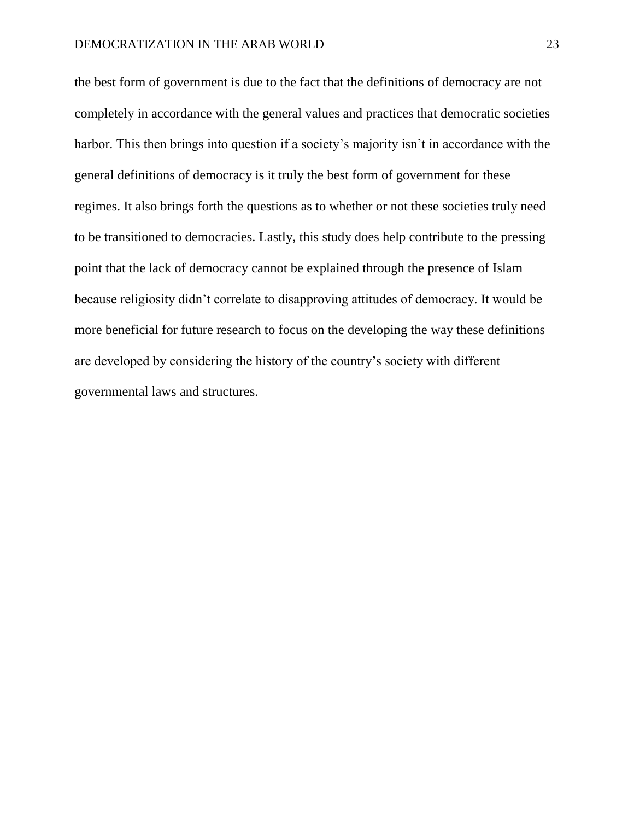the best form of government is due to the fact that the definitions of democracy are not completely in accordance with the general values and practices that democratic societies harbor. This then brings into question if a society's majority isn't in accordance with the general definitions of democracy is it truly the best form of government for these regimes. It also brings forth the questions as to whether or not these societies truly need to be transitioned to democracies. Lastly, this study does help contribute to the pressing point that the lack of democracy cannot be explained through the presence of Islam because religiosity didn't correlate to disapproving attitudes of democracy. It would be more beneficial for future research to focus on the developing the way these definitions are developed by considering the history of the country's society with different governmental laws and structures.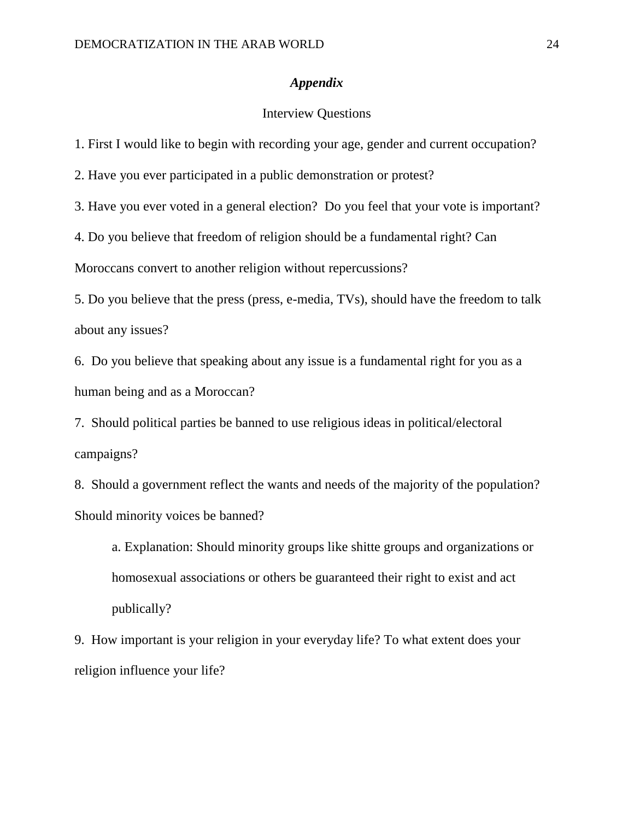## *Appendix*

## Interview Questions

1. First I would like to begin with recording your age, gender and current occupation?

2. Have you ever participated in a public demonstration or protest?

3. Have you ever voted in a general election? Do you feel that your vote is important?

4. Do you believe that freedom of religion should be a fundamental right? Can

Moroccans convert to another religion without repercussions?

5. Do you believe that the press (press, e-media, TVs), should have the freedom to talk about any issues?

6. Do you believe that speaking about any issue is a fundamental right for you as a human being and as a Moroccan?

7. Should political parties be banned to use religious ideas in political/electoral campaigns?

8. Should a government reflect the wants and needs of the majority of the population? Should minority voices be banned?

a. Explanation: Should minority groups like shitte groups and organizations or homosexual associations or others be guaranteed their right to exist and act publically?

9. How important is your religion in your everyday life? To what extent does your religion influence your life?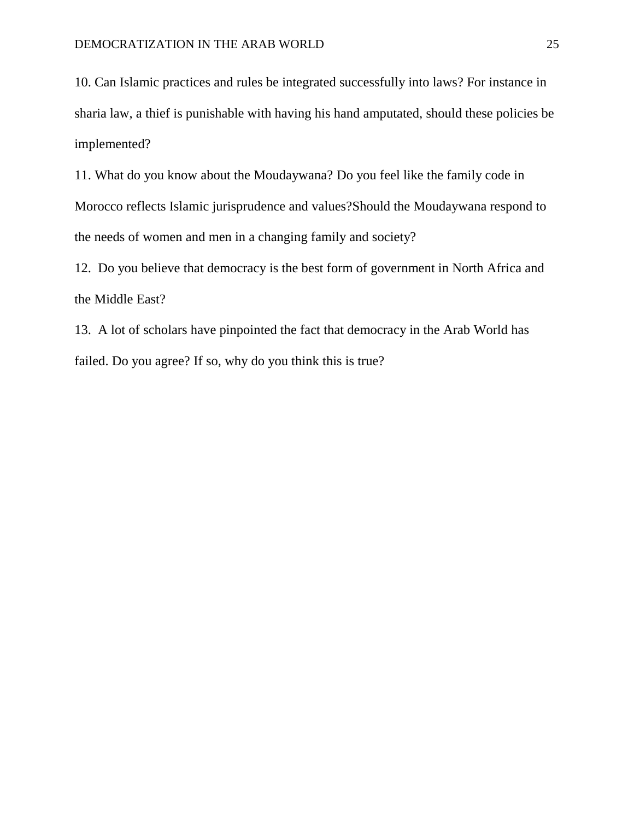10. Can Islamic practices and rules be integrated successfully into laws? For instance in sharia law, a thief is punishable with having his hand amputated, should these policies be implemented?

11. What do you know about the Moudaywana? Do you feel like the family code in Morocco reflects Islamic jurisprudence and values?Should the Moudaywana respond to the needs of women and men in a changing family and society?

12. Do you believe that democracy is the best form of government in North Africa and the Middle East?

13. A lot of scholars have pinpointed the fact that democracy in the Arab World has failed. Do you agree? If so, why do you think this is true?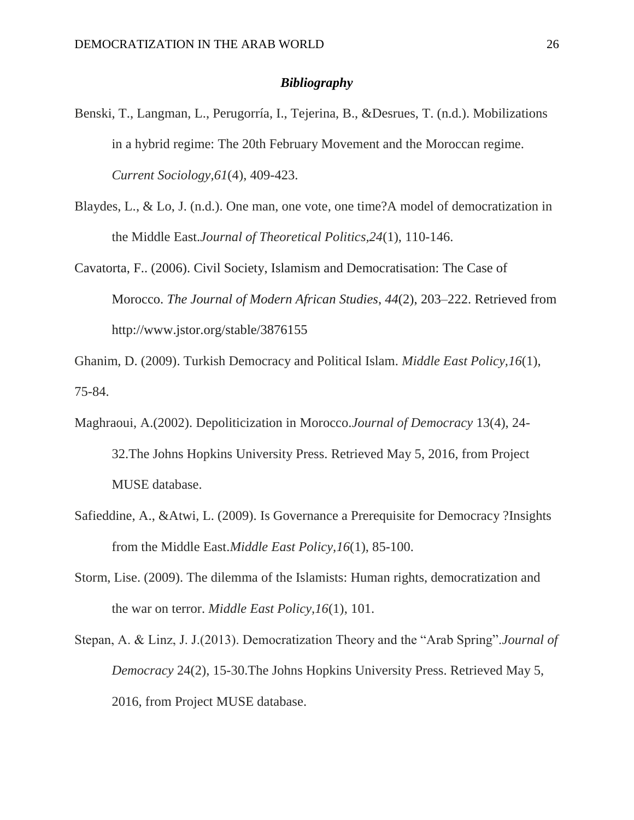## *Bibliography*

- Benski, T., Langman, L., Perugorría, I., Tejerina, B., &Desrues, T. (n.d.). Mobilizations in a hybrid regime: The 20th February Movement and the Moroccan regime. *Current Sociology,61*(4), 409-423.
- Blaydes, L., & Lo, J. (n.d.). One man, one vote, one time?A model of democratization in the Middle East.*Journal of Theoretical Politics,24*(1), 110-146.
- Cavatorta, F.. (2006). Civil Society, Islamism and Democratisation: The Case of Morocco. *The Journal of Modern African Studies*, *44*(2), 203–222. Retrieved from http://www.jstor.org/stable/3876155

Ghanim, D. (2009). Turkish Democracy and Political Islam. *Middle East Policy,16*(1), 75-84.

- Maghraoui, A.(2002). Depoliticization in Morocco.*Journal of Democracy* 13(4), 24- 32.The Johns Hopkins University Press. Retrieved May 5, 2016, from Project MUSE database.
- Safieddine, A., &Atwi, L. (2009). Is Governance a Prerequisite for Democracy ?Insights from the Middle East.*Middle East Policy,16*(1), 85-100.
- Storm, Lise. (2009). The dilemma of the Islamists: Human rights, democratization and the war on terror. *Middle East Policy,16*(1), 101.
- Stepan, A. & Linz, J. J.(2013). Democratization Theory and the "Arab Spring".*Journal of Democracy* 24(2), 15-30.The Johns Hopkins University Press. Retrieved May 5, 2016, from Project MUSE database.